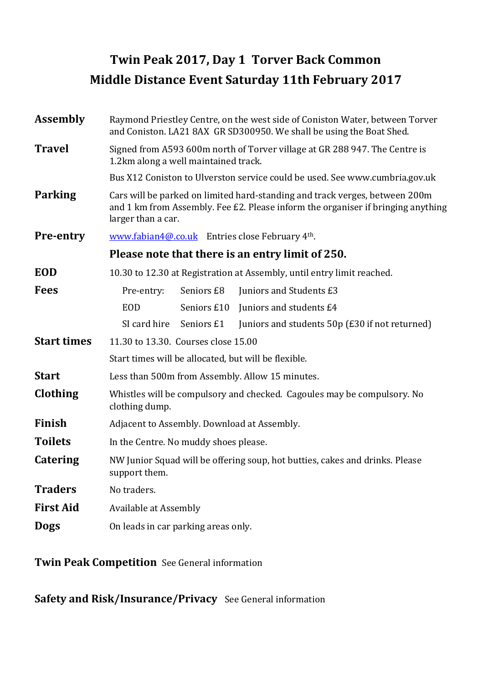# Twin Peak 2017, Day 1 Torver Back Common Middle Distance Event Saturday 11th February 2017

| <b>Assembly</b>    | Raymond Priestley Centre, on the west side of Coniston Water, between Torver<br>and Coniston. LA21 8AX GR SD300950. We shall be using the Boat Shed.                                  |  |  |  |  |  |  |
|--------------------|---------------------------------------------------------------------------------------------------------------------------------------------------------------------------------------|--|--|--|--|--|--|
| <b>Travel</b>      | Signed from A593 600m north of Torver village at GR 288 947. The Centre is<br>1.2km along a well maintained track.                                                                    |  |  |  |  |  |  |
|                    | Bus X12 Coniston to Ulverston service could be used. See www.cumbria.gov.uk                                                                                                           |  |  |  |  |  |  |
| <b>Parking</b>     | Cars will be parked on limited hard-standing and track verges, between 200m<br>and 1 km from Assembly. Fee £2. Please inform the organiser if bringing anything<br>larger than a car. |  |  |  |  |  |  |
| <b>Pre-entry</b>   | www.fabian4@.co.uk Entries close February 4th.                                                                                                                                        |  |  |  |  |  |  |
|                    | Please note that there is an entry limit of 250.                                                                                                                                      |  |  |  |  |  |  |
| <b>EOD</b>         | 10.30 to 12.30 at Registration at Assembly, until entry limit reached.                                                                                                                |  |  |  |  |  |  |
| <b>Fees</b>        | Juniors and Students £3<br>Pre-entry:<br>Seniors £8                                                                                                                                   |  |  |  |  |  |  |
|                    | Juniors and students £4<br><b>EOD</b><br>Seniors £10                                                                                                                                  |  |  |  |  |  |  |
|                    | SI card hire<br>Juniors and students 50p (£30 if not returned)<br>Seniors £1                                                                                                          |  |  |  |  |  |  |
| <b>Start times</b> | 11.30 to 13.30. Courses close 15.00                                                                                                                                                   |  |  |  |  |  |  |
|                    | Start times will be allocated, but will be flexible.                                                                                                                                  |  |  |  |  |  |  |
| <b>Start</b>       | Less than 500m from Assembly. Allow 15 minutes.                                                                                                                                       |  |  |  |  |  |  |
| Clothing           | Whistles will be compulsory and checked. Cagoules may be compulsory. No<br>clothing dump.                                                                                             |  |  |  |  |  |  |
| Finish             | Adjacent to Assembly. Download at Assembly.                                                                                                                                           |  |  |  |  |  |  |
| <b>Toilets</b>     | In the Centre. No muddy shoes please.                                                                                                                                                 |  |  |  |  |  |  |
| <b>Catering</b>    | NW Junior Squad will be offering soup, hot butties, cakes and drinks. Please<br>support them.                                                                                         |  |  |  |  |  |  |
| <b>Traders</b>     | No traders.                                                                                                                                                                           |  |  |  |  |  |  |
| <b>First Aid</b>   | Available at Assembly                                                                                                                                                                 |  |  |  |  |  |  |
| <b>Dogs</b>        | On leads in car parking areas only.                                                                                                                                                   |  |  |  |  |  |  |

Twin Peak Competition See General information

Safety and Risk/Insurance/Privacy See General information